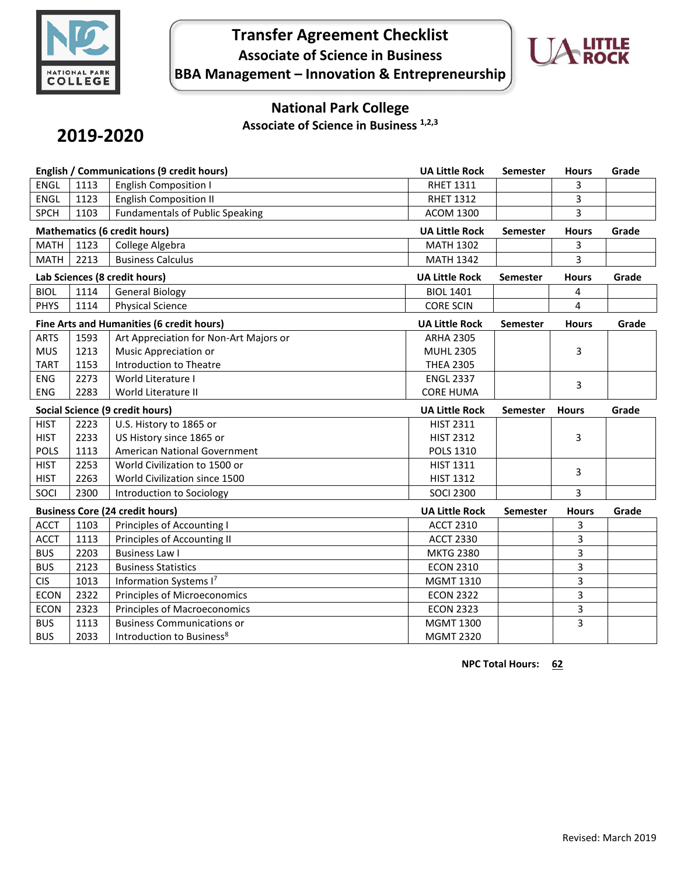

# **Transfer Agreement Checklist Associate of Science in Business BBA Management – Innovation & Entrepreneurship**



## **National Park College**

**Associate of Science in Business 1,2,3**

# **2019-2020**

| English / Communications (9 credit hours) |                                     |                                           | <b>UA Little Rock</b> | <b>Semester</b> | <b>Hours</b>   | Grade |
|-------------------------------------------|-------------------------------------|-------------------------------------------|-----------------------|-----------------|----------------|-------|
| <b>ENGL</b>                               | 1113                                | <b>English Composition I</b>              | <b>RHET 1311</b>      |                 | 3              |       |
| <b>ENGL</b>                               | 1123                                | <b>English Composition II</b>             | <b>RHET 1312</b>      |                 | 3              |       |
| <b>SPCH</b>                               | 1103                                | <b>Fundamentals of Public Speaking</b>    | <b>ACOM 1300</b>      |                 | 3              |       |
|                                           | <b>Mathematics (6 credit hours)</b> |                                           | <b>UA Little Rock</b> | <b>Semester</b> | <b>Hours</b>   | Grade |
| <b>MATH</b>                               | 1123                                | College Algebra                           | <b>MATH 1302</b>      |                 | 3              |       |
| <b>MATH</b>                               | 2213                                | <b>Business Calculus</b>                  | <b>MATH 1342</b>      |                 | 3              |       |
|                                           | Lab Sciences (8 credit hours)       |                                           |                       | Semester        | <b>Hours</b>   | Grade |
| <b>BIOL</b>                               | 1114<br><b>General Biology</b>      |                                           |                       |                 | 4              |       |
| <b>PHYS</b>                               | 1114                                | <b>Physical Science</b>                   | <b>CORE SCIN</b>      |                 | $\overline{4}$ |       |
|                                           |                                     | Fine Arts and Humanities (6 credit hours) | <b>UA Little Rock</b> | <b>Semester</b> | <b>Hours</b>   | Grade |
| <b>ARTS</b>                               | 1593                                | Art Appreciation for Non-Art Majors or    | <b>ARHA 2305</b>      |                 |                |       |
| <b>MUS</b>                                | 1213                                | Music Appreciation or                     | <b>MUHL 2305</b>      |                 | 3              |       |
| <b>TART</b>                               | 1153                                | Introduction to Theatre                   | <b>THEA 2305</b>      |                 |                |       |
| <b>ENG</b>                                | 2273                                | World Literature I                        | <b>ENGL 2337</b>      |                 | 3              |       |
| <b>ENG</b>                                | 2283                                | World Literature II                       | <b>CORE HUMA</b>      |                 |                |       |
| <b>Social Science (9 credit hours)</b>    |                                     |                                           |                       |                 |                |       |
|                                           |                                     |                                           | <b>UA Little Rock</b> | <b>Semester</b> | <b>Hours</b>   | Grade |
| <b>HIST</b>                               | 2223                                | U.S. History to 1865 or                   | <b>HIST 2311</b>      |                 |                |       |
| <b>HIST</b>                               | 2233                                | US History since 1865 or                  | <b>HIST 2312</b>      |                 | 3              |       |
| <b>POLS</b>                               | 1113                                | American National Government              | <b>POLS 1310</b>      |                 |                |       |
| <b>HIST</b>                               | 2253                                | World Civilization to 1500 or             | <b>HIST 1311</b>      |                 |                |       |
| <b>HIST</b>                               | 2263                                | World Civilization since 1500             | <b>HIST 1312</b>      |                 | 3              |       |
| SOCI                                      | 2300                                | Introduction to Sociology                 | <b>SOCI 2300</b>      |                 | 3              |       |
|                                           |                                     | <b>Business Core (24 credit hours)</b>    | <b>UA Little Rock</b> | <b>Semester</b> | <b>Hours</b>   | Grade |
| <b>ACCT</b>                               | 1103                                | Principles of Accounting I                | <b>ACCT 2310</b>      |                 | 3              |       |
| <b>ACCT</b>                               | 1113                                | Principles of Accounting II               | <b>ACCT 2330</b>      |                 | 3              |       |
| <b>BUS</b>                                | 2203                                | <b>Business Law I</b>                     | <b>MKTG 2380</b>      |                 | 3              |       |
| <b>BUS</b>                                | 2123                                | <b>Business Statistics</b>                | <b>ECON 2310</b>      |                 | 3              |       |
| <b>CIS</b>                                | 1013                                | Information Systems I7                    | MGMT 1310             |                 | 3              |       |
| <b>ECON</b>                               | 2322                                | Principles of Microeconomics              | <b>ECON 2322</b>      |                 | 3              |       |
| <b>ECON</b>                               | 2323                                | <b>Principles of Macroeconomics</b>       | <b>ECON 2323</b>      |                 | 3              |       |
| <b>BUS</b>                                | 1113                                | <b>Business Communications or</b>         | <b>MGMT 1300</b>      |                 | 3              |       |

**NPC Total Hours: 62**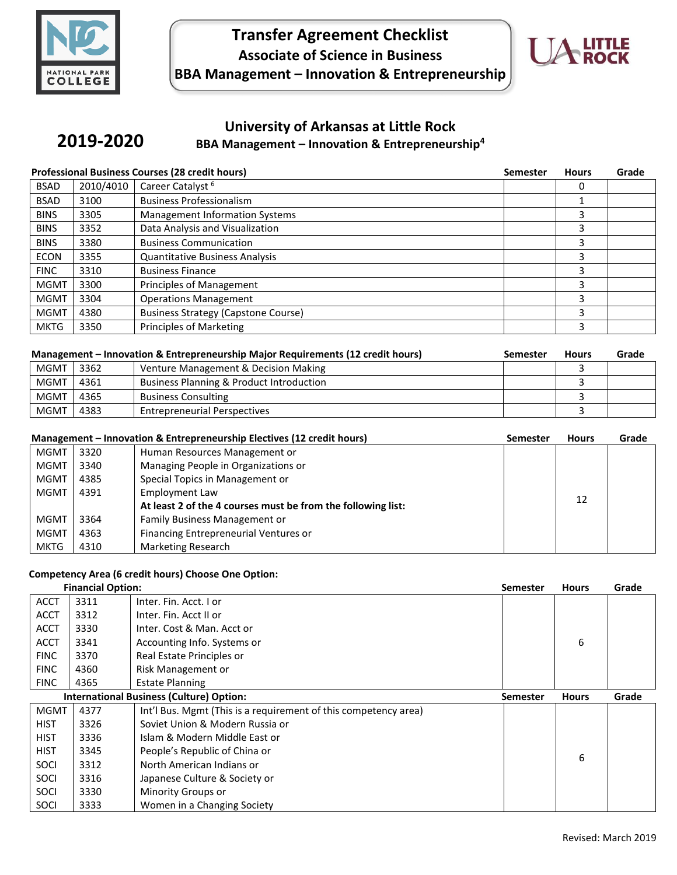

**2019-2020**

## **Transfer Agreement Checklist Associate of Science in Business BBA Management – Innovation & Entrepreneurship**



### **University of Arkansas at Little Rock BBA Management – Innovation & Entrepreneurship<sup>4</sup>**

| <b>Professional Business Courses (28 credit hours)</b> |           | <b>Semester</b>                            | <b>Hours</b> | Grade |  |
|--------------------------------------------------------|-----------|--------------------------------------------|--------------|-------|--|
| <b>BSAD</b>                                            | 2010/4010 | Career Catalyst <sup>6</sup>               |              |       |  |
| <b>BSAD</b>                                            | 3100      | <b>Business Professionalism</b>            |              |       |  |
| <b>BINS</b>                                            | 3305      | <b>Management Information Systems</b>      |              | 3     |  |
| <b>BINS</b>                                            | 3352      | Data Analysis and Visualization            |              | 3     |  |
| <b>BINS</b>                                            | 3380      | <b>Business Communication</b>              |              | 3     |  |
| <b>ECON</b>                                            | 3355      | <b>Quantitative Business Analysis</b>      |              | 3     |  |
| <b>FINC</b>                                            | 3310      | <b>Business Finance</b>                    |              | 3     |  |
| <b>MGMT</b>                                            | 3300      | <b>Principles of Management</b>            |              | 3     |  |
| <b>MGMT</b>                                            | 3304      | <b>Operations Management</b>               |              | 3     |  |
| <b>MGMT</b>                                            | 4380      | <b>Business Strategy (Capstone Course)</b> |              | 3     |  |
| <b>MKTG</b>                                            | 3350      | <b>Principles of Marketing</b>             |              | 3     |  |

| Management – Innovation & Entrepreneurship Major Requirements (12 credit hours) |      |                                                     | <b>Semester</b> | <b>Hours</b> | Grade |
|---------------------------------------------------------------------------------|------|-----------------------------------------------------|-----------------|--------------|-------|
| <b>MGMT</b>                                                                     | 3362 | Venture Management & Decision Making                |                 |              |       |
| <b>MGMT</b>                                                                     | 4361 | <b>Business Planning &amp; Product Introduction</b> |                 |              |       |
| <b>MGMT</b>                                                                     | 4365 | <b>Business Consulting</b>                          |                 |              |       |
| <b>MGMT</b>                                                                     | 4383 | <b>Entrepreneurial Perspectives</b>                 |                 |              |       |

| Management - Innovation & Entrepreneurship Electives (12 credit hours) |      | <b>Semester</b>                                              | <b>Hours</b> | Grade |  |
|------------------------------------------------------------------------|------|--------------------------------------------------------------|--------------|-------|--|
| <b>MGMT</b>                                                            | 3320 | Human Resources Management or                                |              |       |  |
| <b>MGMT</b>                                                            | 3340 | Managing People in Organizations or                          |              |       |  |
| <b>MGMT</b>                                                            | 4385 | Special Topics in Management or                              |              |       |  |
| <b>MGMT</b>                                                            | 4391 | Employment Law                                               |              | 12    |  |
|                                                                        |      | At least 2 of the 4 courses must be from the following list: |              |       |  |
| MGMT                                                                   | 3364 | Family Business Management or                                |              |       |  |
| <b>MGMT</b>                                                            | 4363 | Financing Entrepreneurial Ventures or                        |              |       |  |
| <b>MKTG</b>                                                            | 4310 | Marketing Research                                           |              |       |  |

#### **Competency Area (6 credit hours) Choose One Option:**

| <b>Financial Option:</b>                        |      | <b>Semester</b>                                                 | <b>Hours</b> | Grade |  |
|-------------------------------------------------|------|-----------------------------------------------------------------|--------------|-------|--|
| <b>ACCT</b>                                     | 3311 | Inter. Fin. Acct. I or                                          |              |       |  |
| <b>ACCT</b>                                     | 3312 | Inter. Fin. Acct II or                                          |              |       |  |
| <b>ACCT</b>                                     | 3330 | Inter. Cost & Man. Acct or                                      |              |       |  |
| <b>ACCT</b>                                     | 3341 | Accounting Info. Systems or                                     |              | 6     |  |
| <b>FINC</b>                                     | 3370 | Real Estate Principles or                                       |              |       |  |
| <b>FINC</b>                                     | 4360 | Risk Management or                                              |              |       |  |
| <b>FINC</b>                                     | 4365 | <b>Estate Planning</b>                                          |              |       |  |
| <b>International Business (Culture) Option:</b> |      | Semester                                                        | <b>Hours</b> | Grade |  |
| <b>MGMT</b>                                     | 4377 | Int'l Bus. Mgmt (This is a requirement of this competency area) |              |       |  |
| <b>HIST</b>                                     | 3326 | Soviet Union & Modern Russia or                                 |              |       |  |
| <b>HIST</b>                                     | 3336 | Islam & Modern Middle East or                                   |              |       |  |
| <b>HIST</b>                                     | 3345 | People's Republic of China or                                   |              |       |  |
| SOCI                                            | 3312 | North American Indians or                                       |              | 6     |  |
| SOCI                                            | 3316 | Japanese Culture & Society or                                   |              |       |  |
| SOCI                                            | 3330 | Minority Groups or                                              |              |       |  |
| SOCI                                            | 3333 | Women in a Changing Society                                     |              |       |  |